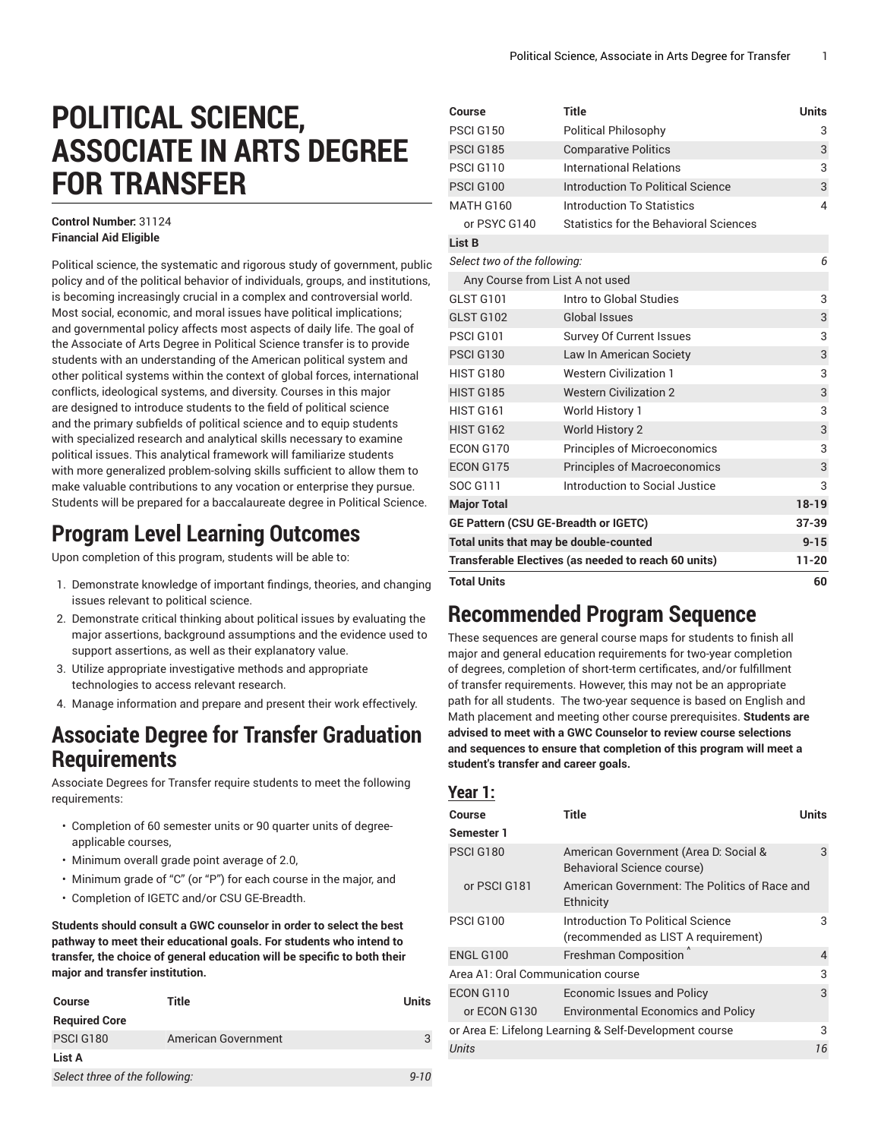# **POLITICAL SCIENCE, ASSOCIATE IN ARTS DEGREE FOR TRANSFER**

#### **Control Number:** 31124 **Financial Aid Eligible**

Political science, the systematic and rigorous study of government, public policy and of the political behavior of individuals, groups, and institutions, is becoming increasingly crucial in a complex and controversial world. Most social, economic, and moral issues have political implications; and governmental policy affects most aspects of daily life. The goal of the Associate of Arts Degree in Political Science transfer is to provide students with an understanding of the American political system and other political systems within the context of global forces, international conflicts, ideological systems, and diversity. Courses in this major are designed to introduce students to the field of political science and the primary subfields of political science and to equip students with specialized research and analytical skills necessary to examine political issues. This analytical framework will familiarize students with more generalized problem-solving skills sufficient to allow them to make valuable contributions to any vocation or enterprise they pursue. Students will be prepared for a baccalaureate degree in Political Science.

### **Program Level Learning Outcomes**

Upon completion of this program, students will be able to:

- 1. Demonstrate knowledge of important findings, theories, and changing issues relevant to political science.
- 2. Demonstrate critical thinking about political issues by evaluating the major assertions, background assumptions and the evidence used to support assertions, as well as their explanatory value.
- 3. Utilize appropriate investigative methods and appropriate technologies to access relevant research.
- 4. Manage information and prepare and present their work effectively.

### **Associate Degree for Transfer Graduation Requirements**

Associate Degrees for Transfer require students to meet the following requirements:

- Completion of 60 semester units or 90 quarter units of degreeapplicable courses,
- Minimum overall grade point average of 2.0,
- Minimum grade of "C" (or "P") for each course in the major, and
- Completion of IGETC and/or CSU GE-Breadth.

**Students should consult a GWC counselor in order to select the best pathway to meet their educational goals. For students who intend to transfer, the choice of general education will be specific to both their major and transfer institution.**

| <b>Course</b>                  | Title               | <b>Units</b> |
|--------------------------------|---------------------|--------------|
| <b>Required Core</b>           |                     |              |
| PSCI G180                      | American Government |              |
| List A                         |                     |              |
| Select three of the following: |                     | $9 - 10$     |

| Course                                               | <b>Title</b>                                  | <b>Units</b> |
|------------------------------------------------------|-----------------------------------------------|--------------|
| <b>PSCI G150</b>                                     | <b>Political Philosophy</b>                   | 3            |
| <b>PSCI G185</b>                                     | <b>Comparative Politics</b>                   | 3            |
| PSCI G110                                            | <b>International Relations</b>                | 3            |
| <b>PSCI G100</b>                                     | Introduction To Political Science             | 3            |
| <b>MATH G160</b>                                     | Introduction To Statistics                    | 4            |
| or PSYC G140                                         | <b>Statistics for the Behavioral Sciences</b> |              |
| List B                                               |                                               |              |
| Select two of the following:                         |                                               | 6            |
| Any Course from List A not used                      |                                               |              |
| GLST G101                                            | Intro to Global Studies                       | 3            |
| GLST G102                                            | <b>Global Issues</b>                          | 3            |
| <b>PSCI G101</b>                                     | <b>Survey Of Current Issues</b>               | 3            |
| <b>PSCI G130</b>                                     | Law In American Society                       | 3            |
| <b>HIST G180</b>                                     | <b>Western Civilization 1</b>                 | 3            |
| <b>HIST G185</b>                                     | <b>Western Civilization 2</b>                 | 3            |
| <b>HIST G161</b>                                     | World History 1                               | 3            |
| <b>HIST G162</b>                                     | <b>World History 2</b>                        | 3            |
| ECON G170                                            | <b>Principles of Microeconomics</b>           | 3            |
| ECON G175                                            | <b>Principles of Macroeconomics</b>           | 3            |
| SOC G111                                             | Introduction to Social Justice                | 3            |
| <b>Major Total</b>                                   |                                               | $18 - 19$    |
| GE Pattern (CSU GE-Breadth or IGETC)                 |                                               | 37-39        |
| Total units that may be double-counted               |                                               | $9 - 15$     |
| Transferable Electives (as needed to reach 60 units) | $11 - 20$                                     |              |
| <b>Total Units</b>                                   |                                               | 60           |

## **Recommended Program Sequence**

These sequences are general course maps for students to finish all major and general education requirements for two-year completion of degrees, completion of short-term certificates, and/or fulfillment of transfer requirements. However, this may not be an appropriate path for all students. The two-year sequence is based on English and Math placement and meeting other course prerequisites. **Students are advised to meet with a GWC Counselor to review course selections and sequences to ensure that completion of this program will meet a student's transfer and career goals.**

#### **Year 1:**

| Course<br>Semester 1               | Title                                                                    | Units |
|------------------------------------|--------------------------------------------------------------------------|-------|
| <b>PSCI G180</b>                   | American Government (Area D: Social &<br>Behavioral Science course)      | 3     |
| or PSCI G181                       | American Government: The Politics of Race and<br>Ethnicity               |       |
| <b>PSCI G100</b>                   | Introduction To Political Science<br>(recommended as LIST A requirement) | 3     |
| <b>ENGL G100</b>                   | Freshman Composition                                                     | 4     |
| Area A1: Oral Communication course |                                                                          | 3     |
| ECON G110                          | Economic Issues and Policy                                               | 3     |
| or ECON G130                       | <b>Environmental Economics and Policy</b>                                |       |
|                                    | or Area E: Lifelong Learning & Self-Development course                   | 3     |
| Units                              |                                                                          | 16    |